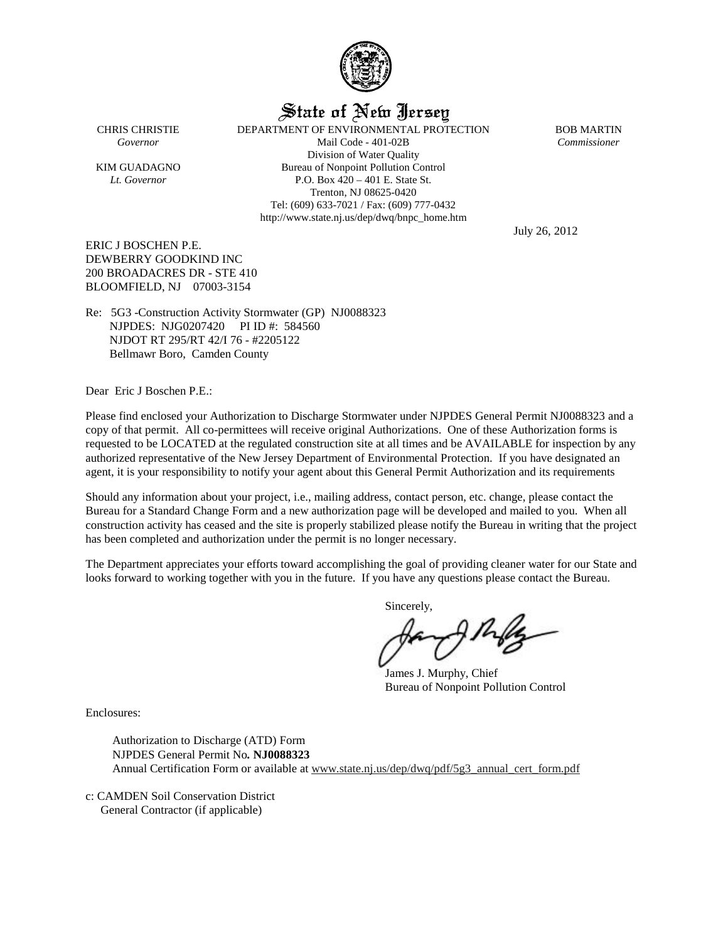

# State of New Jersey

CHRIS CHRISTIE DEPARTMENT OF ENVIRONMENTAL PROTECTION BOB MARTIN *Governor* Mail Code - 401-02B *Commissioner*  Division of Water Quality KIM GUADAGNO Bureau of Nonpoint Pollution Control *Lt. Governor* P.O. Box 420 – 401 E. State St. Trenton, NJ 08625-0420 Tel: (609) 633-7021 / Fax: (609) 777-0432 http://www.state.nj.us/dep/dwq/bnpc\_home.htm

July 26, 2012

ERIC J BOSCHEN P.E. DEWBERRY GOODKIND INC 200 BROADACRES DR - STE 410 BLOOMFIELD, NJ 07003-3154

Re: 5G3 -Construction Activity Stormwater (GP) NJ0088323 NJPDES: NJG0207420 PI ID #: 584560 NJDOT RT 295/RT 42/I 76 - #2205122 Bellmawr Boro, Camden County

Dear Eric J Boschen P.E.:

Please find enclosed your Authorization to Discharge Stormwater under NJPDES General Permit NJ0088323 and a copy of that permit. All co-permittees will receive original Authorizations. One of these Authorization forms is requested to be LOCATED at the regulated construction site at all times and be AVAILABLE for inspection by any authorized representative of the New Jersey Department of Environmental Protection. If you have designated an agent, it is your responsibility to notify your agent about this General Permit Authorization and its requirements

Should any information about your project, i.e., mailing address, contact person, etc. change, please contact the Bureau for a Standard Change Form and a new authorization page will be developed and mailed to you. When all construction activity has ceased and the site is properly stabilized please notify the Bureau in writing that the project has been completed and authorization under the permit is no longer necessary.

The Department appreciates your efforts toward accomplishing the goal of providing cleaner water for our State and looks forward to working together with you in the future. If you have any questions please contact the Bureau.

Sincerely,

 James J. Murphy, Chief Bureau of Nonpoint Pollution Control

Enclosures:

Authorization to Discharge (ATD) Form NJPDES General Permit No*.* **NJ0088323**  Annual Certification Form or available at www.state.nj.us/dep/dwq/pdf/5g3\_annual\_cert\_form.pdf

c: CAMDEN Soil Conservation District General Contractor (if applicable)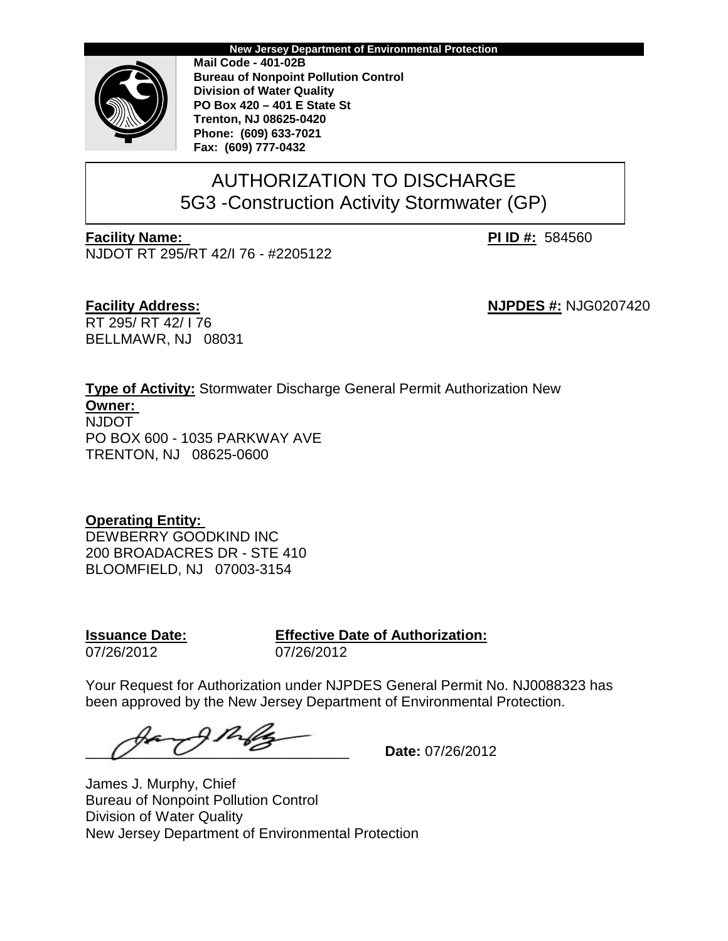

**Mail Code - 401-02B Bureau of Nonpoint Pollution Control Division of Water Quality PO Box 420 – 401 E State St Trenton, NJ 08625-0420 Phone: (609) 633-7021 Fax: (609) 777-0432**

## AUTHORIZATION TO DISCHARGE 5G3 -Construction Activity Stormwater (GP)

**Facility Name:**  NJDOT RT 295/RT 42/I 76 - #2205122 **PI ID #:** 584560

**Facility Address:** NJPDES #: NJG0207420

RT 295/ RT 42/ I 76 BELLMAWR, NJ 08031

**Type of Activity:** Stormwater Discharge General Permit Authorization New **Owner:**  NJDOT PO BOX 600 - 1035 PARKWAY AVE

TRENTON, NJ 08625-0600

**Operating Entity:** DEWBERRY GOODKIND INC 200 BROADACRES DR - STE 410 BLOOMFIELD, NJ 07003-3154

07/26/2012 07/26/2012

**Issuance Date: Effective Date of Authorization:**

Your Request for Authorization under NJPDES General Permit No. NJ0088323 has been approved by the New Jersey Department of Environmental Protection.

\_\_\_\_\_\_\_\_\_\_\_\_\_\_\_\_\_\_\_\_\_\_\_\_\_\_\_\_\_\_\_\_\_ **Date:** 07/26/2012

James J. Murphy, Chief Bureau of Nonpoint Pollution Control Division of Water Quality New Jersey Department of Environmental Protection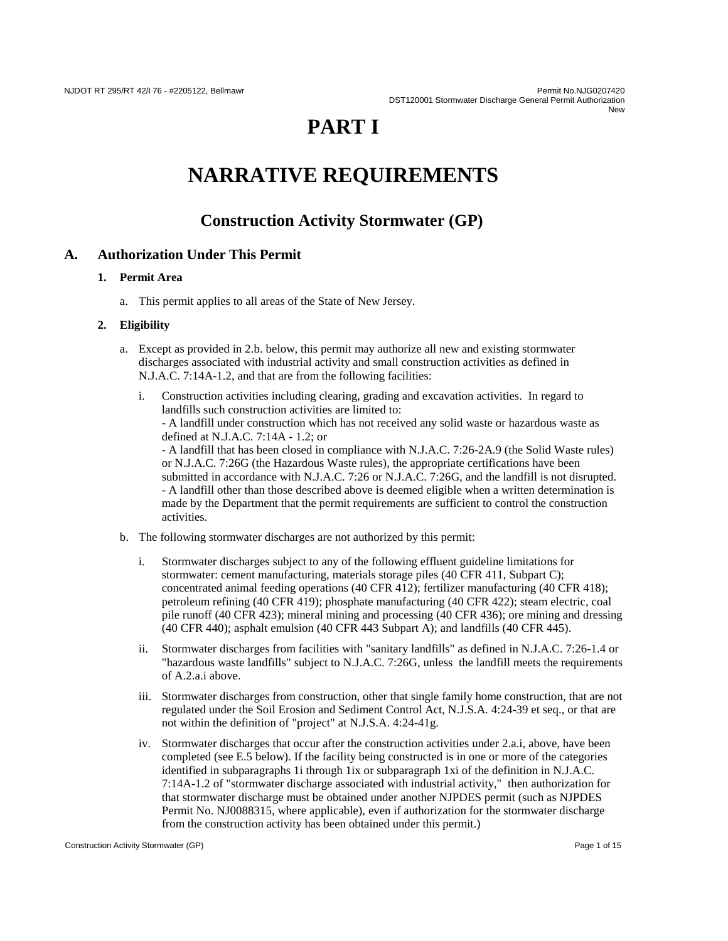# **PART I**

# **NARRATIVE REQUIREMENTS**

## **Construction Activity Stormwater (GP)**

## **A. Authorization Under This Permit**

#### **1. Permit Area**

a. This permit applies to all areas of the State of New Jersey.

#### **2. Eligibility**

- a. Except as provided in 2.b. below, this permit may authorize all new and existing stormwater discharges associated with industrial activity and small construction activities as defined in N.J.A.C. 7:14A-1.2, and that are from the following facilities:
	- i. Construction activities including clearing, grading and excavation activities. In regard to landfills such construction activities are limited to: - A landfill under construction which has not received any solid waste or hazardous waste as defined at N.J.A.C. 7:14A - 1.2; or - A landfill that has been closed in compliance with N.J.A.C. 7:26-2A.9 (the Solid Waste rules) or N.J.A.C. 7:26G (the Hazardous Waste rules), the appropriate certifications have been submitted in accordance with N.J.A.C. 7:26 or N.J.A.C. 7:26G, and the landfill is not disrupted. - A landfill other than those described above is deemed eligible when a written determination is made by the Department that the permit requirements are sufficient to control the construction activities.
- b. The following stormwater discharges are not authorized by this permit:
	- i. Stormwater discharges subject to any of the following effluent guideline limitations for stormwater: cement manufacturing, materials storage piles (40 CFR 411, Subpart C); concentrated animal feeding operations (40 CFR 412); fertilizer manufacturing (40 CFR 418); petroleum refining (40 CFR 419); phosphate manufacturing (40 CFR 422); steam electric, coal pile runoff (40 CFR 423); mineral mining and processing (40 CFR 436); ore mining and dressing (40 CFR 440); asphalt emulsion (40 CFR 443 Subpart A); and landfills (40 CFR 445).
	- ii. Stormwater discharges from facilities with "sanitary landfills" as defined in N.J.A.C. 7:26-1.4 or "hazardous waste landfills" subject to N.J.A.C. 7:26G, unless the landfill meets the requirements of A.2.a.i above.
	- iii. Stormwater discharges from construction, other that single family home construction, that are not regulated under the Soil Erosion and Sediment Control Act, N.J.S.A. 4:24-39 et seq., or that are not within the definition of "project" at N.J.S.A. 4:24-41g.
	- iv. Stormwater discharges that occur after the construction activities under 2.a.i, above, have been completed (see E.5 below). If the facility being constructed is in one or more of the categories identified in subparagraphs 1i through 1ix or subparagraph 1xi of the definition in N.J.A.C. 7:14A-1.2 of "stormwater discharge associated with industrial activity," then authorization for that stormwater discharge must be obtained under another NJPDES permit (such as NJPDES Permit No. NJ0088315, where applicable), even if authorization for the stormwater discharge from the construction activity has been obtained under this permit.)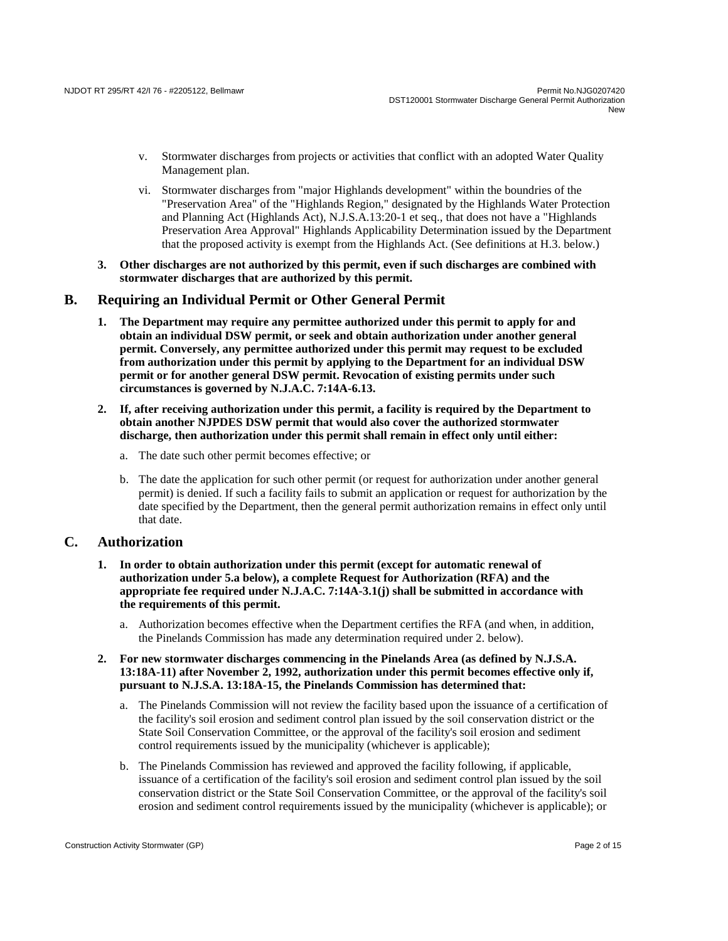- v. Stormwater discharges from projects or activities that conflict with an adopted Water Quality Management plan.
- vi. Stormwater discharges from "major Highlands development" within the boundries of the "Preservation Area" of the "Highlands Region," designated by the Highlands Water Protection and Planning Act (Highlands Act), N.J.S.A.13:20-1 et seq., that does not have a "Highlands Preservation Area Approval" Highlands Applicability Determination issued by the Department that the proposed activity is exempt from the Highlands Act. (See definitions at H.3. below.)
- **3. Other discharges are not authorized by this permit, even if such discharges are combined with stormwater discharges that are authorized by this permit.**

## **B. Requiring an Individual Permit or Other General Permit**

- **1. The Department may require any permittee authorized under this permit to apply for and obtain an individual DSW permit, or seek and obtain authorization under another general permit. Conversely, any permittee authorized under this permit may request to be excluded from authorization under this permit by applying to the Department for an individual DSW permit or for another general DSW permit. Revocation of existing permits under such circumstances is governed by N.J.A.C. 7:14A-6.13.**
- **2. If, after receiving authorization under this permit, a facility is required by the Department to obtain another NJPDES DSW permit that would also cover the authorized stormwater discharge, then authorization under this permit shall remain in effect only until either:**
	- a. The date such other permit becomes effective; or
	- b. The date the application for such other permit (or request for authorization under another general permit) is denied. If such a facility fails to submit an application or request for authorization by the date specified by the Department, then the general permit authorization remains in effect only until that date.

## **C. Authorization**

- **1. In order to obtain authorization under this permit (except for automatic renewal of authorization under 5.a below), a complete Request for Authorization (RFA) and the appropriate fee required under N.J.A.C. 7:14A-3.1(j) shall be submitted in accordance with the requirements of this permit.**
	- a. Authorization becomes effective when the Department certifies the RFA (and when, in addition, the Pinelands Commission has made any determination required under 2. below).

#### **2. For new stormwater discharges commencing in the Pinelands Area (as defined by N.J.S.A. 13:18A-11) after November 2, 1992, authorization under this permit becomes effective only if, pursuant to N.J.S.A. 13:18A-15, the Pinelands Commission has determined that:**

- a. The Pinelands Commission will not review the facility based upon the issuance of a certification of the facility's soil erosion and sediment control plan issued by the soil conservation district or the State Soil Conservation Committee, or the approval of the facility's soil erosion and sediment control requirements issued by the municipality (whichever is applicable);
- b. The Pinelands Commission has reviewed and approved the facility following, if applicable, issuance of a certification of the facility's soil erosion and sediment control plan issued by the soil conservation district or the State Soil Conservation Committee, or the approval of the facility's soil erosion and sediment control requirements issued by the municipality (whichever is applicable); or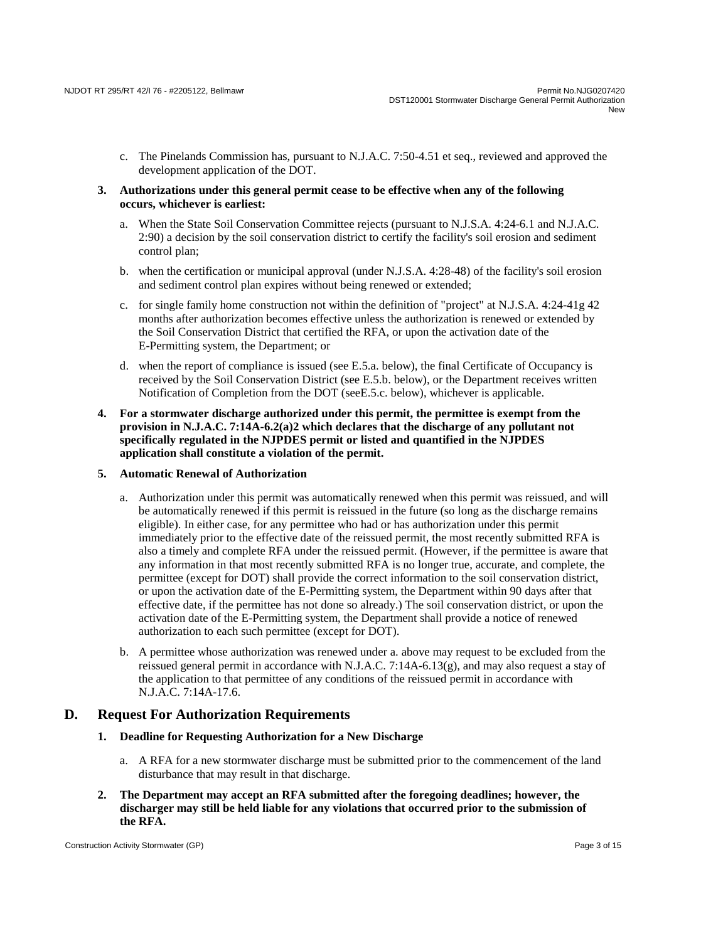c. The Pinelands Commission has, pursuant to N.J.A.C. 7:50-4.51 et seq., reviewed and approved the development application of the DOT.

#### **3. Authorizations under this general permit cease to be effective when any of the following occurs, whichever is earliest:**

- a. When the State Soil Conservation Committee rejects (pursuant to N.J.S.A. 4:24-6.1 and N.J.A.C. 2:90) a decision by the soil conservation district to certify the facility's soil erosion and sediment control plan;
- b. when the certification or municipal approval (under N.J.S.A. 4:28-48) of the facility's soil erosion and sediment control plan expires without being renewed or extended;
- c. for single family home construction not within the definition of "project" at N.J.S.A. 4:24-41g 42 months after authorization becomes effective unless the authorization is renewed or extended by the Soil Conservation District that certified the RFA, or upon the activation date of the E-Permitting system, the Department; or
- d. when the report of compliance is issued (see E.5.a. below), the final Certificate of Occupancy is received by the Soil Conservation District (see E.5.b. below), or the Department receives written Notification of Completion from the DOT (seeE.5.c. below), whichever is applicable.
- **4. For a stormwater discharge authorized under this permit, the permittee is exempt from the provision in N.J.A.C. 7:14A-6.2(a)2 which declares that the discharge of any pollutant not specifically regulated in the NJPDES permit or listed and quantified in the NJPDES application shall constitute a violation of the permit.**

#### **5. Automatic Renewal of Authorization**

- a. Authorization under this permit was automatically renewed when this permit was reissued, and will be automatically renewed if this permit is reissued in the future (so long as the discharge remains eligible). In either case, for any permittee who had or has authorization under this permit immediately prior to the effective date of the reissued permit, the most recently submitted RFA is also a timely and complete RFA under the reissued permit. (However, if the permittee is aware that any information in that most recently submitted RFA is no longer true, accurate, and complete, the permittee (except for DOT) shall provide the correct information to the soil conservation district, or upon the activation date of the E-Permitting system, the Department within 90 days after that effective date, if the permittee has not done so already.) The soil conservation district, or upon the activation date of the E-Permitting system, the Department shall provide a notice of renewed authorization to each such permittee (except for DOT).
- b. A permittee whose authorization was renewed under a. above may request to be excluded from the reissued general permit in accordance with N.J.A.C. 7:14A-6.13(g), and may also request a stay of the application to that permittee of any conditions of the reissued permit in accordance with N.J.A.C. 7:14A-17.6.

## **D. Request For Authorization Requirements**

#### **1. Deadline for Requesting Authorization for a New Discharge**

- a. A RFA for a new stormwater discharge must be submitted prior to the commencement of the land disturbance that may result in that discharge.
- **2. The Department may accept an RFA submitted after the foregoing deadlines; however, the discharger may still be held liable for any violations that occurred prior to the submission of the RFA.**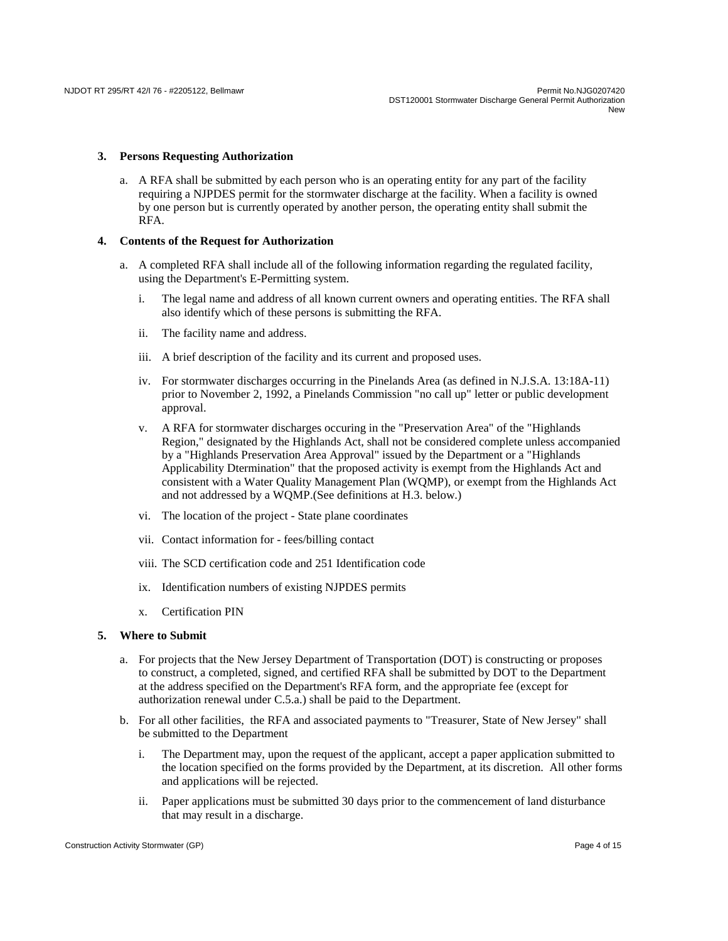#### **3. Persons Requesting Authorization**

a. A RFA shall be submitted by each person who is an operating entity for any part of the facility requiring a NJPDES permit for the stormwater discharge at the facility. When a facility is owned by one person but is currently operated by another person, the operating entity shall submit the RFA.

#### **4. Contents of the Request for Authorization**

- a. A completed RFA shall include all of the following information regarding the regulated facility, using the Department's E-Permitting system.
	- i. The legal name and address of all known current owners and operating entities. The RFA shall also identify which of these persons is submitting the RFA.
	- ii. The facility name and address.
	- iii. A brief description of the facility and its current and proposed uses.
	- iv. For stormwater discharges occurring in the Pinelands Area (as defined in N.J.S.A. 13:18A-11) prior to November 2, 1992, a Pinelands Commission "no call up" letter or public development approval.
	- v. A RFA for stormwater discharges occuring in the "Preservation Area" of the "Highlands Region," designated by the Highlands Act, shall not be considered complete unless accompanied by a "Highlands Preservation Area Approval" issued by the Department or a "Highlands Applicability Dtermination" that the proposed activity is exempt from the Highlands Act and consistent with a Water Quality Management Plan (WQMP), or exempt from the Highlands Act and not addressed by a WQMP.(See definitions at H.3. below.)
	- vi. The location of the project State plane coordinates
	- vii. Contact information for fees/billing contact
	- viii. The SCD certification code and 251 Identification code
	- ix. Identification numbers of existing NJPDES permits
	- x. Certification PIN

#### **5. Where to Submit**

- a. For projects that the New Jersey Department of Transportation (DOT) is constructing or proposes to construct, a completed, signed, and certified RFA shall be submitted by DOT to the Department at the address specified on the Department's RFA form, and the appropriate fee (except for authorization renewal under C.5.a.) shall be paid to the Department.
- b. For all other facilities, the RFA and associated payments to "Treasurer, State of New Jersey" shall be submitted to the Department
	- i. The Department may, upon the request of the applicant, accept a paper application submitted to the location specified on the forms provided by the Department, at its discretion. All other forms and applications will be rejected.
	- ii. Paper applications must be submitted 30 days prior to the commencement of land disturbance that may result in a discharge.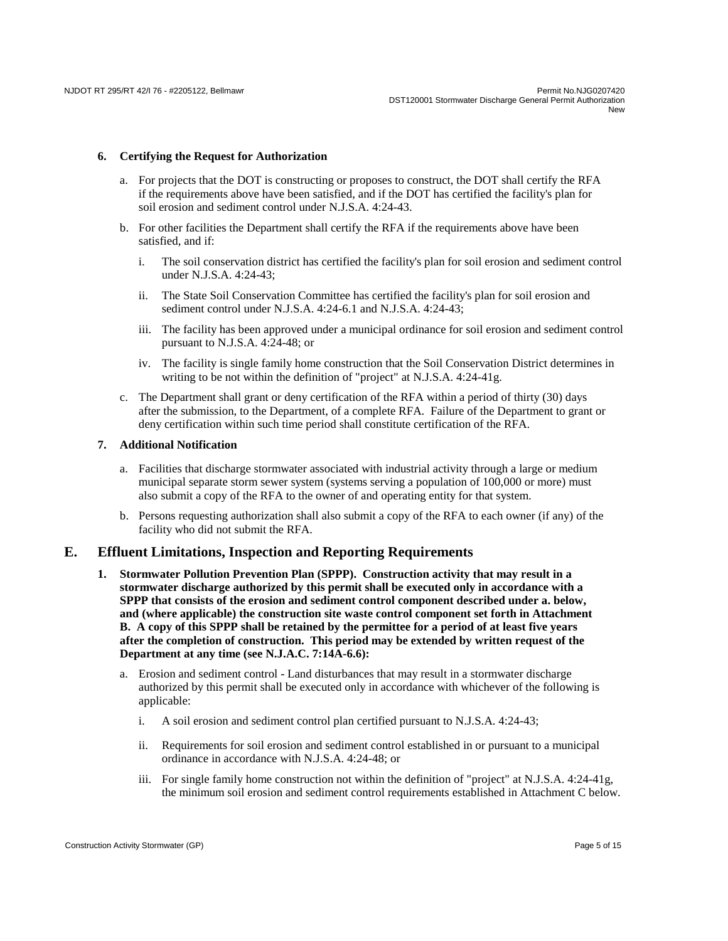#### **6. Certifying the Request for Authorization**

- a. For projects that the DOT is constructing or proposes to construct, the DOT shall certify the RFA if the requirements above have been satisfied, and if the DOT has certified the facility's plan for soil erosion and sediment control under N.J.S.A. 4:24-43.
- b. For other facilities the Department shall certify the RFA if the requirements above have been satisfied, and if:
	- i. The soil conservation district has certified the facility's plan for soil erosion and sediment control under N.J.S.A. 4:24-43;
	- ii. The State Soil Conservation Committee has certified the facility's plan for soil erosion and sediment control under N.J.S.A. 4:24-6.1 and N.J.S.A. 4:24-43;
	- iii. The facility has been approved under a municipal ordinance for soil erosion and sediment control pursuant to N.J.S.A. 4:24-48; or
	- iv. The facility is single family home construction that the Soil Conservation District determines in writing to be not within the definition of "project" at N.J.S.A. 4:24-41g.
- c. The Department shall grant or deny certification of the RFA within a period of thirty (30) days after the submission, to the Department, of a complete RFA. Failure of the Department to grant or deny certification within such time period shall constitute certification of the RFA.

#### **7. Additional Notification**

- a. Facilities that discharge stormwater associated with industrial activity through a large or medium municipal separate storm sewer system (systems serving a population of 100,000 or more) must also submit a copy of the RFA to the owner of and operating entity for that system.
- b. Persons requesting authorization shall also submit a copy of the RFA to each owner (if any) of the facility who did not submit the RFA.

### **E. Effluent Limitations, Inspection and Reporting Requirements**

- **1. Stormwater Pollution Prevention Plan (SPPP). Construction activity that may result in a stormwater discharge authorized by this permit shall be executed only in accordance with a SPPP that consists of the erosion and sediment control component described under a. below, and (where applicable) the construction site waste control component set forth in Attachment B. A copy of this SPPP shall be retained by the permittee for a period of at least five years after the completion of construction. This period may be extended by written request of the Department at any time (see N.J.A.C. 7:14A-6.6):**
	- a. Erosion and sediment control Land disturbances that may result in a stormwater discharge authorized by this permit shall be executed only in accordance with whichever of the following is applicable:
		- i. A soil erosion and sediment control plan certified pursuant to N.J.S.A. 4:24-43;
		- ii. Requirements for soil erosion and sediment control established in or pursuant to a municipal ordinance in accordance with N.J.S.A. 4:24-48; or
		- iii. For single family home construction not within the definition of "project" at N.J.S.A. 4:24-41g, the minimum soil erosion and sediment control requirements established in Attachment C below.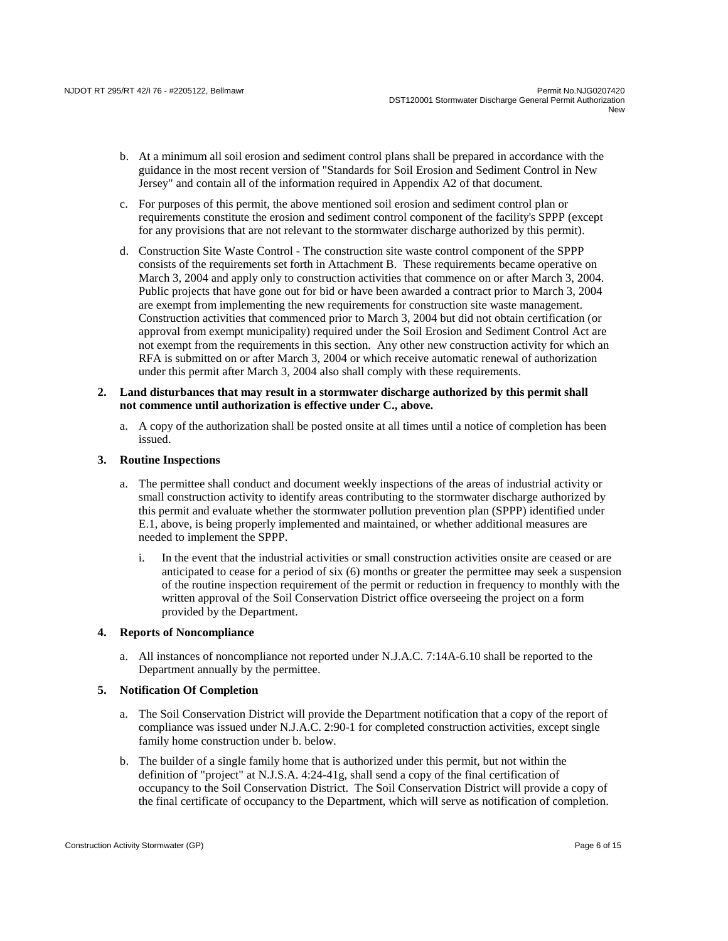- b. At a minimum all soil erosion and sediment control plans shall be prepared in accordance with the guidance in the most recent version of "Standards for Soil Erosion and Sediment Control in New Jersey" and contain all of the information required in Appendix A2 of that document.
- c. For purposes of this permit, the above mentioned soil erosion and sediment control plan or requirements constitute the erosion and sediment control component of the facility's SPPP (except for any provisions that are not relevant to the stormwater discharge authorized by this permit).
- d. Construction Site Waste Control The construction site waste control component of the SPPP consists of the requirements set forth in Attachment B. These requirements became operative on March 3, 2004 and apply only to construction activities that commence on or after March 3, 2004. Public projects that have gone out for bid or have been awarded a contract prior to March 3, 2004 are exempt from implementing the new requirements for construction site waste management. Construction activities that commenced prior to March 3, 2004 but did not obtain certification (or approval from exempt municipality) required under the Soil Erosion and Sediment Control Act are not exempt from the requirements in this section. Any other new construction activity for which an RFA is submitted on or after March 3, 2004 or which receive automatic renewal of authorization under this permit after March 3, 2004 also shall comply with these requirements.
- **2. Land disturbances that may result in a stormwater discharge authorized by this permit shall not commence until authorization is effective under C., above.**
	- a. A copy of the authorization shall be posted onsite at all times until a notice of completion has been issued.

#### **3. Routine Inspections**

- a. The permittee shall conduct and document weekly inspections of the areas of industrial activity or small construction activity to identify areas contributing to the stormwater discharge authorized by this permit and evaluate whether the stormwater pollution prevention plan (SPPP) identified under E.1, above, is being properly implemented and maintained, or whether additional measures are needed to implement the SPPP.
	- i. In the event that the industrial activities or small construction activities onsite are ceased or are anticipated to cease for a period of six (6) months or greater the permittee may seek a suspension of the routine inspection requirement of the permit or reduction in frequency to monthly with the written approval of the Soil Conservation District office overseeing the project on a form provided by the Department.

#### **4. Reports of Noncompliance**

a. All instances of noncompliance not reported under N.J.A.C. 7:14A-6.10 shall be reported to the Department annually by the permittee.

#### **5. Notification Of Completion**

- a. The Soil Conservation District will provide the Department notification that a copy of the report of compliance was issued under N.J.A.C. 2:90-1 for completed construction activities, except single family home construction under b. below.
- b. The builder of a single family home that is authorized under this permit, but not within the definition of "project" at N.J.S.A. 4:24-41g, shall send a copy of the final certification of occupancy to the Soil Conservation District. The Soil Conservation District will provide a copy of the final certificate of occupancy to the Department, which will serve as notification of completion.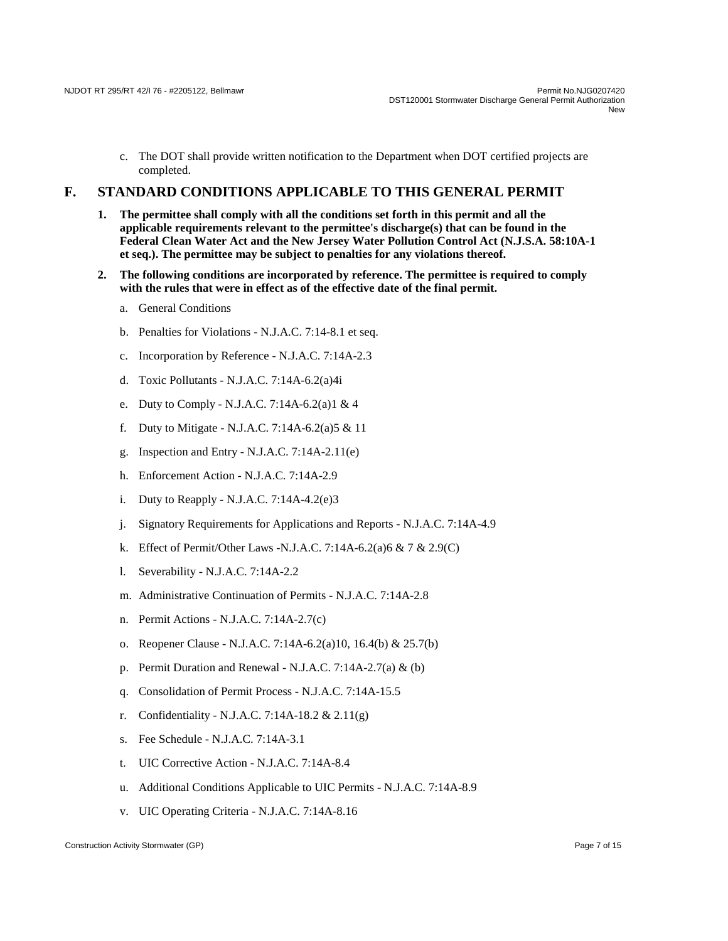c. The DOT shall provide written notification to the Department when DOT certified projects are completed.

## **F. STANDARD CONDITIONS APPLICABLE TO THIS GENERAL PERMIT**

- **1. The permittee shall comply with all the conditions set forth in this permit and all the applicable requirements relevant to the permittee's discharge(s) that can be found in the Federal Clean Water Act and the New Jersey Water Pollution Control Act (N.J.S.A. 58:10A-1 et seq.). The permittee may be subject to penalties for any violations thereof.**
- **2. The following conditions are incorporated by reference. The permittee is required to comply with the rules that were in effect as of the effective date of the final permit.**
	- a. General Conditions
	- b. Penalties for Violations N.J.A.C. 7:14-8.1 et seq.
	- c. Incorporation by Reference N.J.A.C. 7:14A-2.3
	- d. Toxic Pollutants N.J.A.C. 7:14A-6.2(a)4i
	- e. Duty to Comply N.J.A.C. 7:14A-6.2(a)1 & 4
	- f. Duty to Mitigate N.J.A.C. 7:14A-6.2(a)5 & 11
	- g. Inspection and Entry N.J.A.C. 7:14A-2.11(e)
	- h. Enforcement Action N.J.A.C. 7:14A-2.9
	- i. Duty to Reapply N.J.A.C.  $7:14A-4.2(e)3$
	- j. Signatory Requirements for Applications and Reports N.J.A.C. 7:14A-4.9
	- k. Effect of Permit/Other Laws -N.J.A.C. 7:14A-6.2(a)6 & 7 & 2.9(C)
	- l. Severability N.J.A.C. 7:14A-2.2
	- m. Administrative Continuation of Permits N.J.A.C. 7:14A-2.8
	- n. Permit Actions N.J.A.C. 7:14A-2.7(c)
	- o. Reopener Clause N.J.A.C. 7:14A-6.2(a)10, 16.4(b) & 25.7(b)
	- p. Permit Duration and Renewal N.J.A.C. 7:14A-2.7(a) & (b)
	- q. Consolidation of Permit Process N.J.A.C. 7:14A-15.5
	- r. Confidentiality N.J.A.C. 7:14A-18.2 &  $2.11(g)$
	- s. Fee Schedule N.J.A.C. 7:14A-3.1
	- t. UIC Corrective Action N.J.A.C. 7:14A-8.4
	- u. Additional Conditions Applicable to UIC Permits N.J.A.C. 7:14A-8.9
	- v. UIC Operating Criteria N.J.A.C. 7:14A-8.16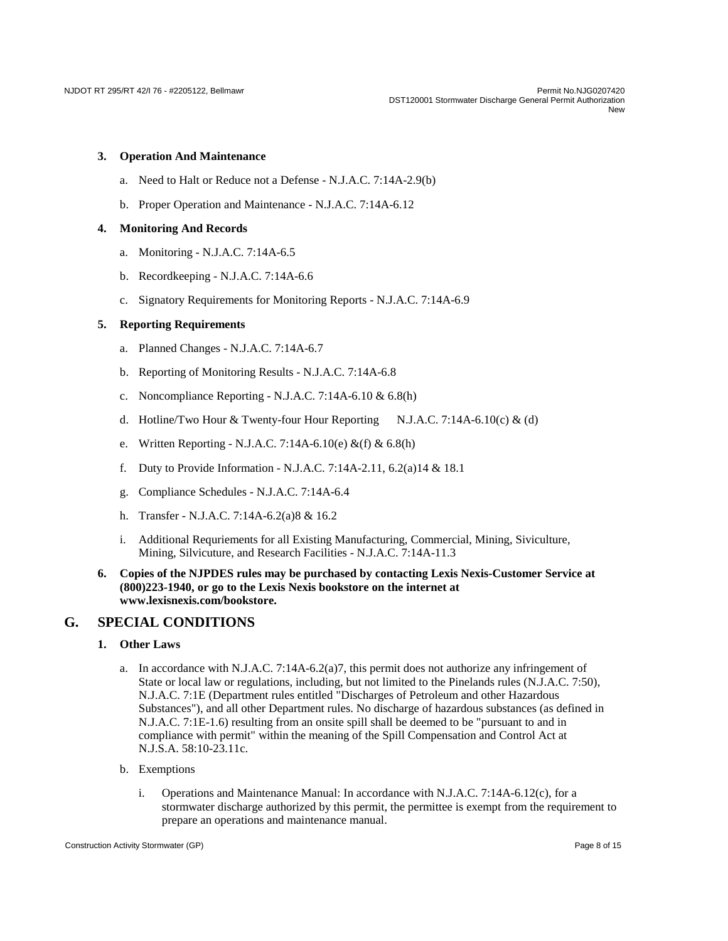#### **3. Operation And Maintenance**

- a. Need to Halt or Reduce not a Defense N.J.A.C. 7:14A-2.9(b)
- b. Proper Operation and Maintenance N.J.A.C. 7:14A-6.12

#### **4. Monitoring And Records**

- a. Monitoring N.J.A.C. 7:14A-6.5
- b. Recordkeeping N.J.A.C. 7:14A-6.6
- c. Signatory Requirements for Monitoring Reports N.J.A.C. 7:14A-6.9

#### **5. Reporting Requirements**

- a. Planned Changes N.J.A.C. 7:14A-6.7
- b. Reporting of Monitoring Results N.J.A.C. 7:14A-6.8
- c. Noncompliance Reporting N.J.A.C. 7:14A-6.10 & 6.8(h)
- d. Hotline/Two Hour & Twenty-four Hour Reporting N.J.A.C. 7:14A-6.10(c) & (d)
- e. Written Reporting N.J.A.C. 7:14A-6.10(e) &(f) & 6.8(h)
- f. Duty to Provide Information N.J.A.C. 7:14A-2.11, 6.2(a)14 & 18.1
- g. Compliance Schedules N.J.A.C. 7:14A-6.4
- h. Transfer N.J.A.C. 7:14A-6.2(a)8 & 16.2
- i. Additional Requriements for all Existing Manufacturing, Commercial, Mining, Siviculture, Mining, Silvicuture, and Research Facilities - N.J.A.C. 7:14A-11.3
- **6. Copies of the NJPDES rules may be purchased by contacting Lexis Nexis-Customer Service at (800)223-1940, or go to the Lexis Nexis bookstore on the internet at www.lexisnexis.com/bookstore.**

## **G. SPECIAL CONDITIONS**

- **1. Other Laws**
	- a. In accordance with N.J.A.C. 7:14A-6.2(a)7, this permit does not authorize any infringement of State or local law or regulations, including, but not limited to the Pinelands rules (N.J.A.C. 7:50), N.J.A.C. 7:1E (Department rules entitled "Discharges of Petroleum and other Hazardous Substances"), and all other Department rules. No discharge of hazardous substances (as defined in N.J.A.C. 7:1E-1.6) resulting from an onsite spill shall be deemed to be "pursuant to and in compliance with permit" within the meaning of the Spill Compensation and Control Act at N.J.S.A. 58:10-23.11c.
	- b. Exemptions
		- i. Operations and Maintenance Manual: In accordance with N.J.A.C. 7:14A-6.12(c), for a stormwater discharge authorized by this permit, the permittee is exempt from the requirement to prepare an operations and maintenance manual.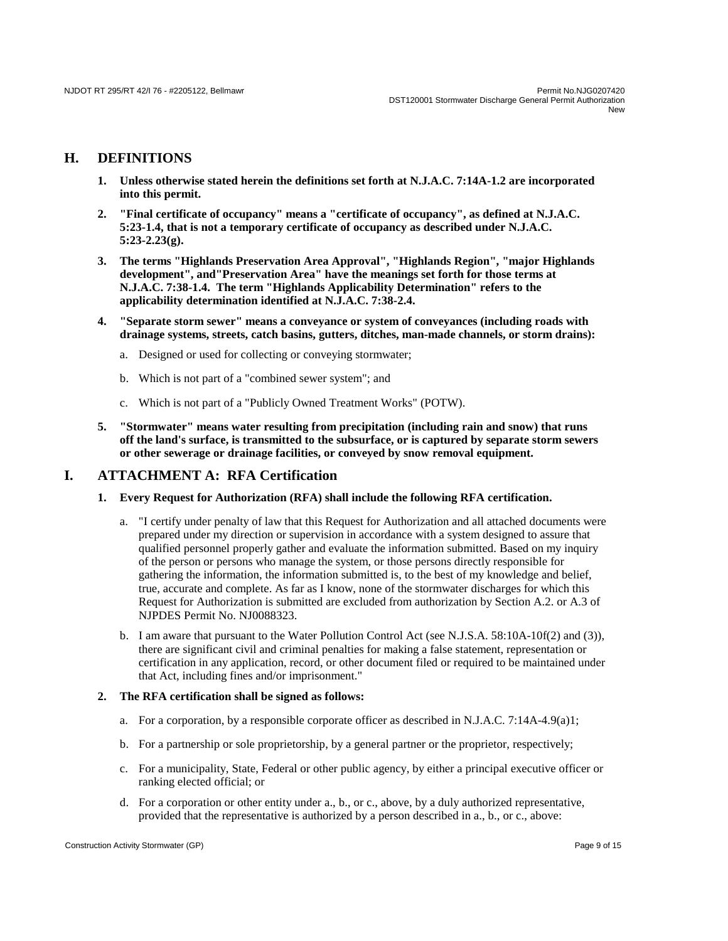## **H. DEFINITIONS**

- **1. Unless otherwise stated herein the definitions set forth at N.J.A.C. 7:14A-1.2 are incorporated into this permit.**
- **2. "Final certificate of occupancy" means a "certificate of occupancy", as defined at N.J.A.C. 5:23-1.4, that is not a temporary certificate of occupancy as described under N.J.A.C. 5:23-2.23(g).**
- **3. The terms "Highlands Preservation Area Approval", "Highlands Region", "major Highlands development", and"Preservation Area" have the meanings set forth for those terms at N.J.A.C. 7:38-1.4. The term "Highlands Applicability Determination" refers to the applicability determination identified at N.J.A.C. 7:38-2.4.**
- **4. "Separate storm sewer" means a conveyance or system of conveyances (including roads with drainage systems, streets, catch basins, gutters, ditches, man-made channels, or storm drains):**
	- a. Designed or used for collecting or conveying stormwater;
	- b. Which is not part of a "combined sewer system"; and
	- c. Which is not part of a "Publicly Owned Treatment Works" (POTW).
- **5. "Stormwater" means water resulting from precipitation (including rain and snow) that runs off the land's surface, is transmitted to the subsurface, or is captured by separate storm sewers or other sewerage or drainage facilities, or conveyed by snow removal equipment.**

### **I. ATTACHMENT A: RFA Certification**

- **1. Every Request for Authorization (RFA) shall include the following RFA certification.**
	- a. "I certify under penalty of law that this Request for Authorization and all attached documents were prepared under my direction or supervision in accordance with a system designed to assure that qualified personnel properly gather and evaluate the information submitted. Based on my inquiry of the person or persons who manage the system, or those persons directly responsible for gathering the information, the information submitted is, to the best of my knowledge and belief, true, accurate and complete. As far as I know, none of the stormwater discharges for which this Request for Authorization is submitted are excluded from authorization by Section A.2. or A.3 of NJPDES Permit No. NJ0088323.
	- b. I am aware that pursuant to the Water Pollution Control Act (see N.J.S.A. 58:10A-10f(2) and (3)), there are significant civil and criminal penalties for making a false statement, representation or certification in any application, record, or other document filed or required to be maintained under that Act, including fines and/or imprisonment."

#### **2. The RFA certification shall be signed as follows:**

- a. For a corporation, by a responsible corporate officer as described in N.J.A.C. 7:14A-4.9(a)1;
- b. For a partnership or sole proprietorship, by a general partner or the proprietor, respectively;
- c. For a municipality, State, Federal or other public agency, by either a principal executive officer or ranking elected official; or
- d. For a corporation or other entity under a., b., or c., above, by a duly authorized representative, provided that the representative is authorized by a person described in a., b., or c., above: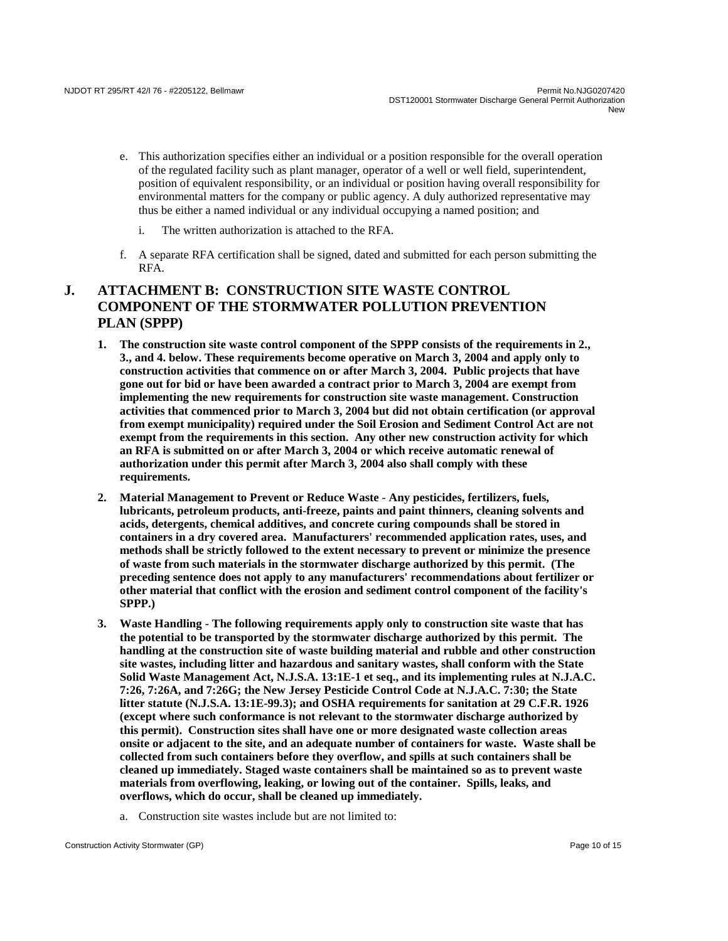- e. This authorization specifies either an individual or a position responsible for the overall operation of the regulated facility such as plant manager, operator of a well or well field, superintendent, position of equivalent responsibility, or an individual or position having overall responsibility for environmental matters for the company or public agency. A duly authorized representative may thus be either a named individual or any individual occupying a named position; and
	- i. The written authorization is attached to the RFA.
- f. A separate RFA certification shall be signed, dated and submitted for each person submitting the RFA.

## **J. ATTACHMENT B: CONSTRUCTION SITE WASTE CONTROL COMPONENT OF THE STORMWATER POLLUTION PREVENTION PLAN (SPPP)**

- **1. The construction site waste control component of the SPPP consists of the requirements in 2., 3., and 4. below. These requirements become operative on March 3, 2004 and apply only to construction activities that commence on or after March 3, 2004. Public projects that have gone out for bid or have been awarded a contract prior to March 3, 2004 are exempt from implementing the new requirements for construction site waste management. Construction activities that commenced prior to March 3, 2004 but did not obtain certification (or approval from exempt municipality) required under the Soil Erosion and Sediment Control Act are not exempt from the requirements in this section. Any other new construction activity for which an RFA is submitted on or after March 3, 2004 or which receive automatic renewal of authorization under this permit after March 3, 2004 also shall comply with these requirements.**
- **2. Material Management to Prevent or Reduce Waste Any pesticides, fertilizers, fuels, lubricants, petroleum products, anti-freeze, paints and paint thinners, cleaning solvents and acids, detergents, chemical additives, and concrete curing compounds shall be stored in containers in a dry covered area. Manufacturers' recommended application rates, uses, and methods shall be strictly followed to the extent necessary to prevent or minimize the presence of waste from such materials in the stormwater discharge authorized by this permit. (The preceding sentence does not apply to any manufacturers' recommendations about fertilizer or other material that conflict with the erosion and sediment control component of the facility's SPPP.)**
- **3. Waste Handling The following requirements apply only to construction site waste that has the potential to be transported by the stormwater discharge authorized by this permit. The handling at the construction site of waste building material and rubble and other construction site wastes, including litter and hazardous and sanitary wastes, shall conform with the State Solid Waste Management Act, N.J.S.A. 13:1E-1 et seq., and its implementing rules at N.J.A.C. 7:26, 7:26A, and 7:26G; the New Jersey Pesticide Control Code at N.J.A.C. 7:30; the State litter statute (N.J.S.A. 13:1E-99.3); and OSHA requirements for sanitation at 29 C.F.R. 1926 (except where such conformance is not relevant to the stormwater discharge authorized by this permit). Construction sites shall have one or more designated waste collection areas onsite or adjacent to the site, and an adequate number of containers for waste. Waste shall be collected from such containers before they overflow, and spills at such containers shall be cleaned up immediately. Staged waste containers shall be maintained so as to prevent waste materials from overflowing, leaking, or lowing out of the container. Spills, leaks, and overflows, which do occur, shall be cleaned up immediately.**
	- a. Construction site wastes include but are not limited to: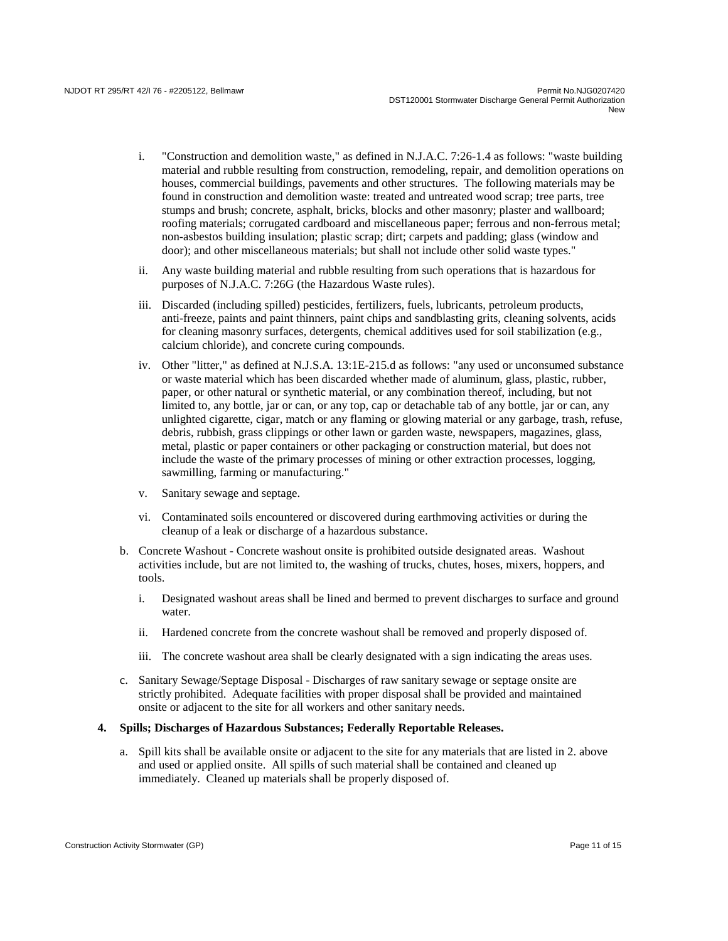- i. "Construction and demolition waste," as defined in N.J.A.C. 7:26-1.4 as follows: "waste building material and rubble resulting from construction, remodeling, repair, and demolition operations on houses, commercial buildings, pavements and other structures. The following materials may be found in construction and demolition waste: treated and untreated wood scrap; tree parts, tree stumps and brush; concrete, asphalt, bricks, blocks and other masonry; plaster and wallboard; roofing materials; corrugated cardboard and miscellaneous paper; ferrous and non-ferrous metal; non-asbestos building insulation; plastic scrap; dirt; carpets and padding; glass (window and door); and other miscellaneous materials; but shall not include other solid waste types."
- ii. Any waste building material and rubble resulting from such operations that is hazardous for purposes of N.J.A.C. 7:26G (the Hazardous Waste rules).
- iii. Discarded (including spilled) pesticides, fertilizers, fuels, lubricants, petroleum products, anti-freeze, paints and paint thinners, paint chips and sandblasting grits, cleaning solvents, acids for cleaning masonry surfaces, detergents, chemical additives used for soil stabilization (e.g., calcium chloride), and concrete curing compounds.
- iv. Other "litter," as defined at N.J.S.A. 13:1E-215.d as follows: "any used or unconsumed substance or waste material which has been discarded whether made of aluminum, glass, plastic, rubber, paper, or other natural or synthetic material, or any combination thereof, including, but not limited to, any bottle, jar or can, or any top, cap or detachable tab of any bottle, jar or can, any unlighted cigarette, cigar, match or any flaming or glowing material or any garbage, trash, refuse, debris, rubbish, grass clippings or other lawn or garden waste, newspapers, magazines, glass, metal, plastic or paper containers or other packaging or construction material, but does not include the waste of the primary processes of mining or other extraction processes, logging, sawmilling, farming or manufacturing."
- v. Sanitary sewage and septage.
- vi. Contaminated soils encountered or discovered during earthmoving activities or during the cleanup of a leak or discharge of a hazardous substance.
- b. Concrete Washout Concrete washout onsite is prohibited outside designated areas. Washout activities include, but are not limited to, the washing of trucks, chutes, hoses, mixers, hoppers, and tools.
	- i. Designated washout areas shall be lined and bermed to prevent discharges to surface and ground water.
	- ii. Hardened concrete from the concrete washout shall be removed and properly disposed of.
	- iii. The concrete washout area shall be clearly designated with a sign indicating the areas uses.
- c. Sanitary Sewage/Septage Disposal Discharges of raw sanitary sewage or septage onsite are strictly prohibited. Adequate facilities with proper disposal shall be provided and maintained onsite or adjacent to the site for all workers and other sanitary needs.

#### **4. Spills; Discharges of Hazardous Substances; Federally Reportable Releases.**

a. Spill kits shall be available onsite or adjacent to the site for any materials that are listed in 2. above and used or applied onsite. All spills of such material shall be contained and cleaned up immediately. Cleaned up materials shall be properly disposed of.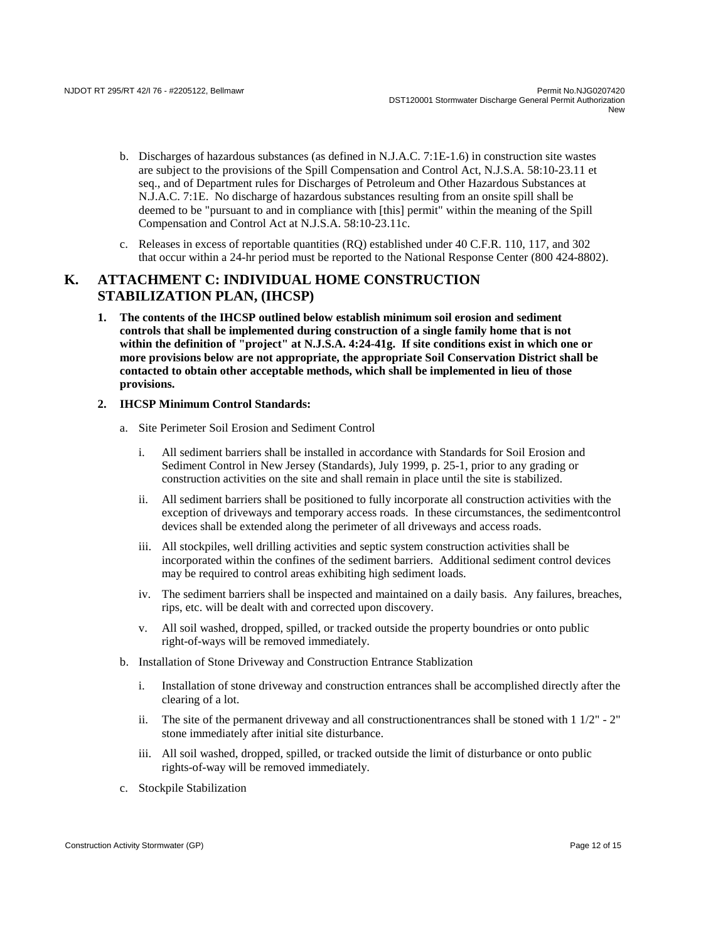- b. Discharges of hazardous substances (as defined in N.J.A.C. 7:1E-1.6) in construction site wastes are subject to the provisions of the Spill Compensation and Control Act, N.J.S.A. 58:10-23.11 et seq., and of Department rules for Discharges of Petroleum and Other Hazardous Substances at N.J.A.C. 7:1E. No discharge of hazardous substances resulting from an onsite spill shall be deemed to be "pursuant to and in compliance with [this] permit" within the meaning of the Spill Compensation and Control Act at N.J.S.A. 58:10-23.11c.
- c. Releases in excess of reportable quantities (RQ) established under 40 C.F.R. 110, 117, and 302 that occur within a 24-hr period must be reported to the National Response Center (800 424-8802).

## **K. ATTACHMENT C: INDIVIDUAL HOME CONSTRUCTION STABILIZATION PLAN, (IHCSP)**

**1. The contents of the IHCSP outlined below establish minimum soil erosion and sediment controls that shall be implemented during construction of a single family home that is not within the definition of "project" at N.J.S.A. 4:24-41g. If site conditions exist in which one or more provisions below are not appropriate, the appropriate Soil Conservation District shall be contacted to obtain other acceptable methods, which shall be implemented in lieu of those provisions.**

#### **2. IHCSP Minimum Control Standards:**

- a. Site Perimeter Soil Erosion and Sediment Control
	- i. All sediment barriers shall be installed in accordance with Standards for Soil Erosion and Sediment Control in New Jersey (Standards), July 1999, p. 25-1, prior to any grading or construction activities on the site and shall remain in place until the site is stabilized.
	- ii. All sediment barriers shall be positioned to fully incorporate all construction activities with the exception of driveways and temporary access roads. In these circumstances, the sedimentcontrol devices shall be extended along the perimeter of all driveways and access roads.
	- iii. All stockpiles, well drilling activities and septic system construction activities shall be incorporated within the confines of the sediment barriers. Additional sediment control devices may be required to control areas exhibiting high sediment loads.
	- iv. The sediment barriers shall be inspected and maintained on a daily basis. Any failures, breaches, rips, etc. will be dealt with and corrected upon discovery.
	- v. All soil washed, dropped, spilled, or tracked outside the property boundries or onto public right-of-ways will be removed immediately.
- b. Installation of Stone Driveway and Construction Entrance Stablization
	- i. Installation of stone driveway and construction entrances shall be accomplished directly after the clearing of a lot.
	- ii. The site of the permanent driveway and all constructionentrances shall be stoned with  $1\frac{1}{2}$ " 2" stone immediately after initial site disturbance.
	- iii. All soil washed, dropped, spilled, or tracked outside the limit of disturbance or onto public rights-of-way will be removed immediately.
- c. Stockpile Stabilization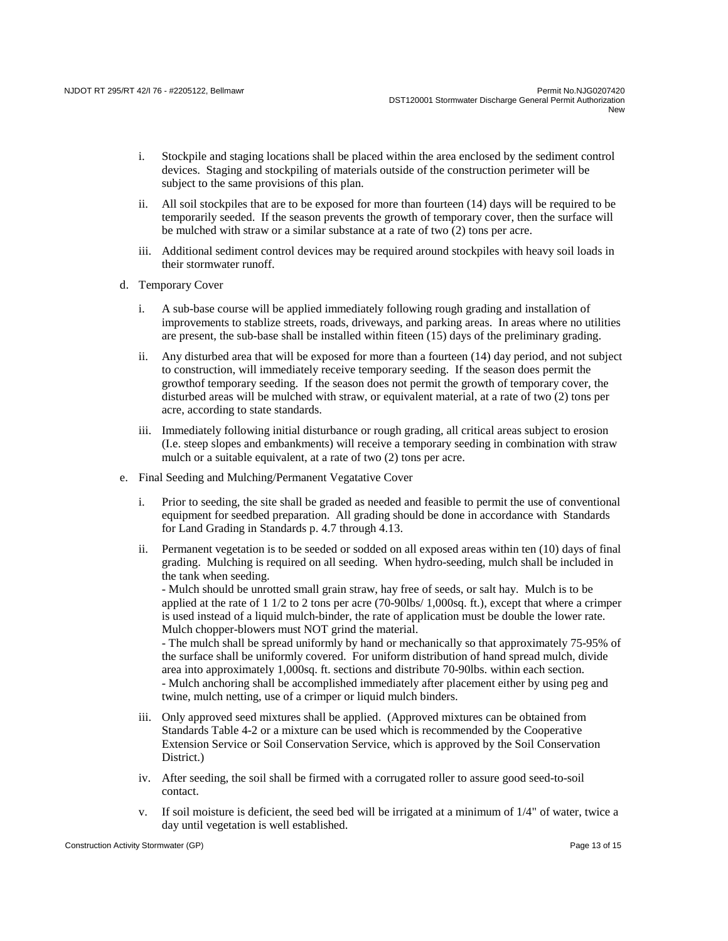- i. Stockpile and staging locations shall be placed within the area enclosed by the sediment control devices. Staging and stockpiling of materials outside of the construction perimeter will be subject to the same provisions of this plan.
- ii. All soil stockpiles that are to be exposed for more than fourteen (14) days will be required to be temporarily seeded. If the season prevents the growth of temporary cover, then the surface will be mulched with straw or a similar substance at a rate of two (2) tons per acre.
- iii. Additional sediment control devices may be required around stockpiles with heavy soil loads in their stormwater runoff.
- d. Temporary Cover
	- i. A sub-base course will be applied immediately following rough grading and installation of improvements to stablize streets, roads, driveways, and parking areas. In areas where no utilities are present, the sub-base shall be installed within fiteen (15) days of the preliminary grading.
	- ii. Any disturbed area that will be exposed for more than a fourteen (14) day period, and not subject to construction, will immediately receive temporary seeding. If the season does permit the growthof temporary seeding. If the season does not permit the growth of temporary cover, the disturbed areas will be mulched with straw, or equivalent material, at a rate of two (2) tons per acre, according to state standards.
	- iii. Immediately following initial disturbance or rough grading, all critical areas subject to erosion (I.e. steep slopes and embankments) will receive a temporary seeding in combination with straw mulch or a suitable equivalent, at a rate of two (2) tons per acre.
- e. Final Seeding and Mulching/Permanent Vegatative Cover
	- i. Prior to seeding, the site shall be graded as needed and feasible to permit the use of conventional equipment for seedbed preparation. All grading should be done in accordance with Standards for Land Grading in Standards p. 4.7 through 4.13.
	- ii. Permanent vegetation is to be seeded or sodded on all exposed areas within ten (10) days of final grading. Mulching is required on all seeding. When hydro-seeding, mulch shall be included in the tank when seeding.

- Mulch should be unrotted small grain straw, hay free of seeds, or salt hay. Mulch is to be applied at the rate of 1 1/2 to 2 tons per acre (70-90lbs/ 1,000sq. ft.), except that where a crimper is used instead of a liquid mulch-binder, the rate of application must be double the lower rate. Mulch chopper-blowers must NOT grind the material.

- The mulch shall be spread uniformly by hand or mechanically so that approximately 75-95% of the surface shall be uniformly covered. For uniform distribution of hand spread mulch, divide area into approximately 1,000sq. ft. sections and distribute 70-90lbs. within each section. - Mulch anchoring shall be accomplished immediately after placement either by using peg and twine, mulch netting, use of a crimper or liquid mulch binders.

- iii. Only approved seed mixtures shall be applied. (Approved mixtures can be obtained from Standards Table 4-2 or a mixture can be used which is recommended by the Cooperative Extension Service or Soil Conservation Service, which is approved by the Soil Conservation District.)
- iv. After seeding, the soil shall be firmed with a corrugated roller to assure good seed-to-soil contact.
- v. If soil moisture is deficient, the seed bed will be irrigated at a minimum of 1/4" of water, twice a day until vegetation is well established.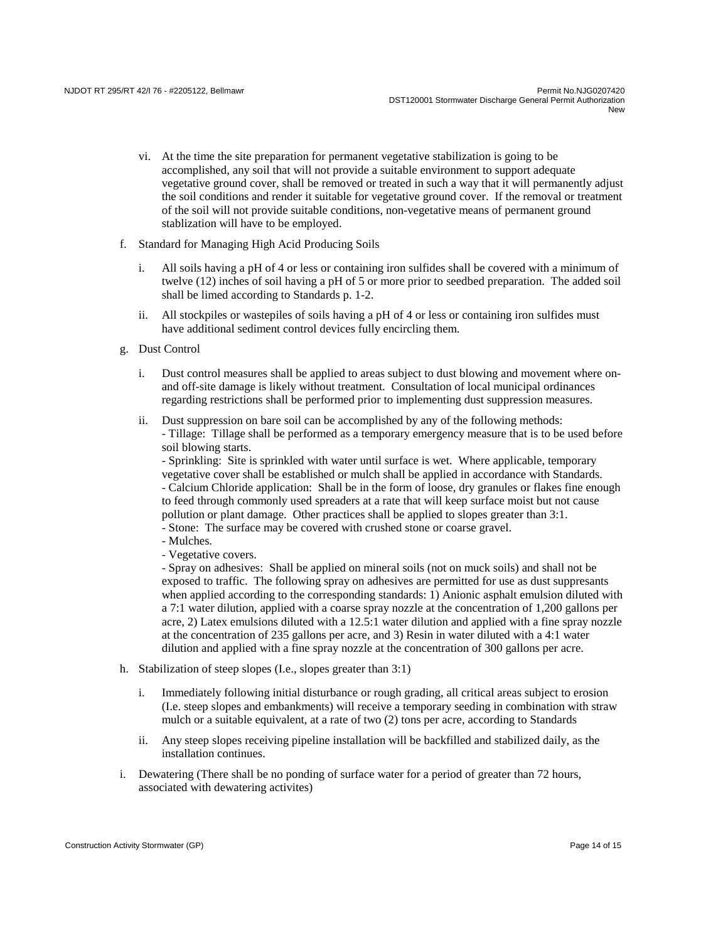- vi. At the time the site preparation for permanent vegetative stabilization is going to be accomplished, any soil that will not provide a suitable environment to support adequate vegetative ground cover, shall be removed or treated in such a way that it will permanently adjust the soil conditions and render it suitable for vegetative ground cover. If the removal or treatment of the soil will not provide suitable conditions, non-vegetative means of permanent ground stablization will have to be employed.
- f. Standard for Managing High Acid Producing Soils
	- i. All soils having a pH of 4 or less or containing iron sulfides shall be covered with a minimum of twelve (12) inches of soil having a pH of 5 or more prior to seedbed preparation. The added soil shall be limed according to Standards p. 1-2.
	- ii. All stockpiles or wastepiles of soils having a pH of 4 or less or containing iron sulfides must have additional sediment control devices fully encircling them.
- g. Dust Control
	- i. Dust control measures shall be applied to areas subject to dust blowing and movement where onand off-site damage is likely without treatment. Consultation of local municipal ordinances regarding restrictions shall be performed prior to implementing dust suppression measures.
	- ii. Dust suppression on bare soil can be accomplished by any of the following methods: - Tillage: Tillage shall be performed as a temporary emergency measure that is to be used before soil blowing starts.

- Sprinkling: Site is sprinkled with water until surface is wet. Where applicable, temporary vegetative cover shall be established or mulch shall be applied in accordance with Standards. - Calcium Chloride application: Shall be in the form of loose, dry granules or flakes fine enough to feed through commonly used spreaders at a rate that will keep surface moist but not cause pollution or plant damage. Other practices shall be applied to slopes greater than 3:1.

- Stone: The surface may be covered with crushed stone or coarse gravel.

- Mulches.
- Vegetative covers.

- Spray on adhesives: Shall be applied on mineral soils (not on muck soils) and shall not be exposed to traffic. The following spray on adhesives are permitted for use as dust suppresants when applied according to the corresponding standards: 1) Anionic asphalt emulsion diluted with a 7:1 water dilution, applied with a coarse spray nozzle at the concentration of 1,200 gallons per acre, 2) Latex emulsions diluted with a 12.5:1 water dilution and applied with a fine spray nozzle at the concentration of 235 gallons per acre, and 3) Resin in water diluted with a 4:1 water dilution and applied with a fine spray nozzle at the concentration of 300 gallons per acre.

- h. Stabilization of steep slopes (I.e., slopes greater than 3:1)
	- i. Immediately following initial disturbance or rough grading, all critical areas subject to erosion (I.e. steep slopes and embankments) will receive a temporary seeding in combination with straw mulch or a suitable equivalent, at a rate of two (2) tons per acre, according to Standards
	- ii. Any steep slopes receiving pipeline installation will be backfilled and stabilized daily, as the installation continues.
- i. Dewatering (There shall be no ponding of surface water for a period of greater than 72 hours, associated with dewatering activites)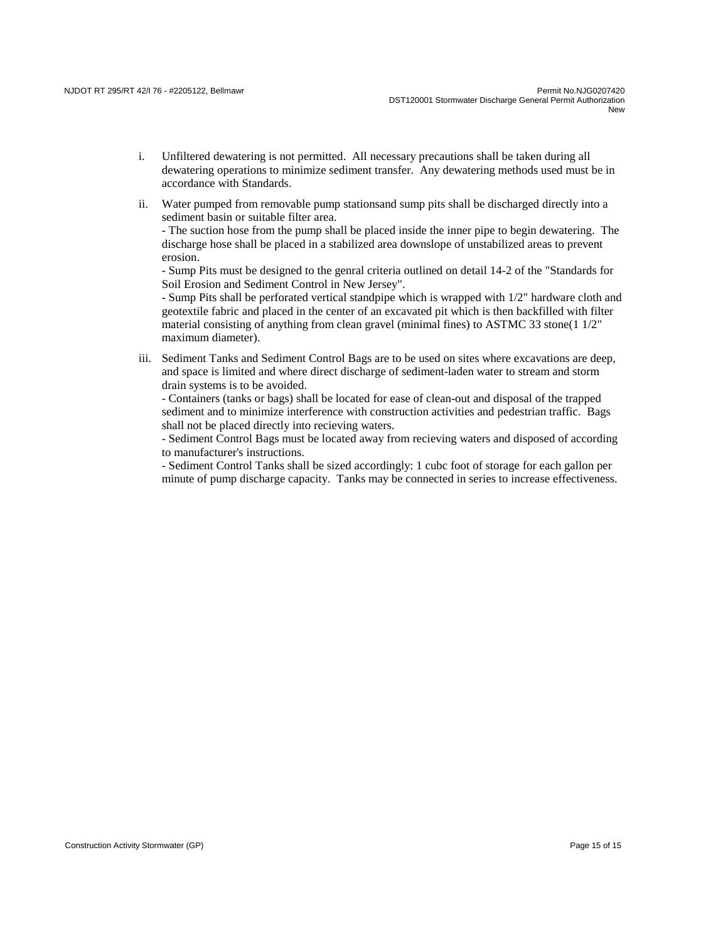- i. Unfiltered dewatering is not permitted. All necessary precautions shall be taken during all dewatering operations to minimize sediment transfer. Any dewatering methods used must be in accordance with Standards.
- ii. Water pumped from removable pump stationsand sump pits shall be discharged directly into a sediment basin or suitable filter area.

- The suction hose from the pump shall be placed inside the inner pipe to begin dewatering. The discharge hose shall be placed in a stabilized area downslope of unstabilized areas to prevent erosion.

- Sump Pits must be designed to the genral criteria outlined on detail 14-2 of the "Standards for Soil Erosion and Sediment Control in New Jersey".

- Sump Pits shall be perforated vertical standpipe which is wrapped with 1/2" hardware cloth and geotextile fabric and placed in the center of an excavated pit which is then backfilled with filter material consisting of anything from clean gravel (minimal fines) to ASTMC 33 stone(1 1/2" maximum diameter).

iii. Sediment Tanks and Sediment Control Bags are to be used on sites where excavations are deep, and space is limited and where direct discharge of sediment-laden water to stream and storm drain systems is to be avoided.

- Containers (tanks or bags) shall be located for ease of clean-out and disposal of the trapped sediment and to minimize interference with construction activities and pedestrian traffic. Bags shall not be placed directly into recieving waters.

- Sediment Control Bags must be located away from recieving waters and disposed of according to manufacturer's instructions.

- Sediment Control Tanks shall be sized accordingly: 1 cubc foot of storage for each gallon per minute of pump discharge capacity. Tanks may be connected in series to increase effectiveness.